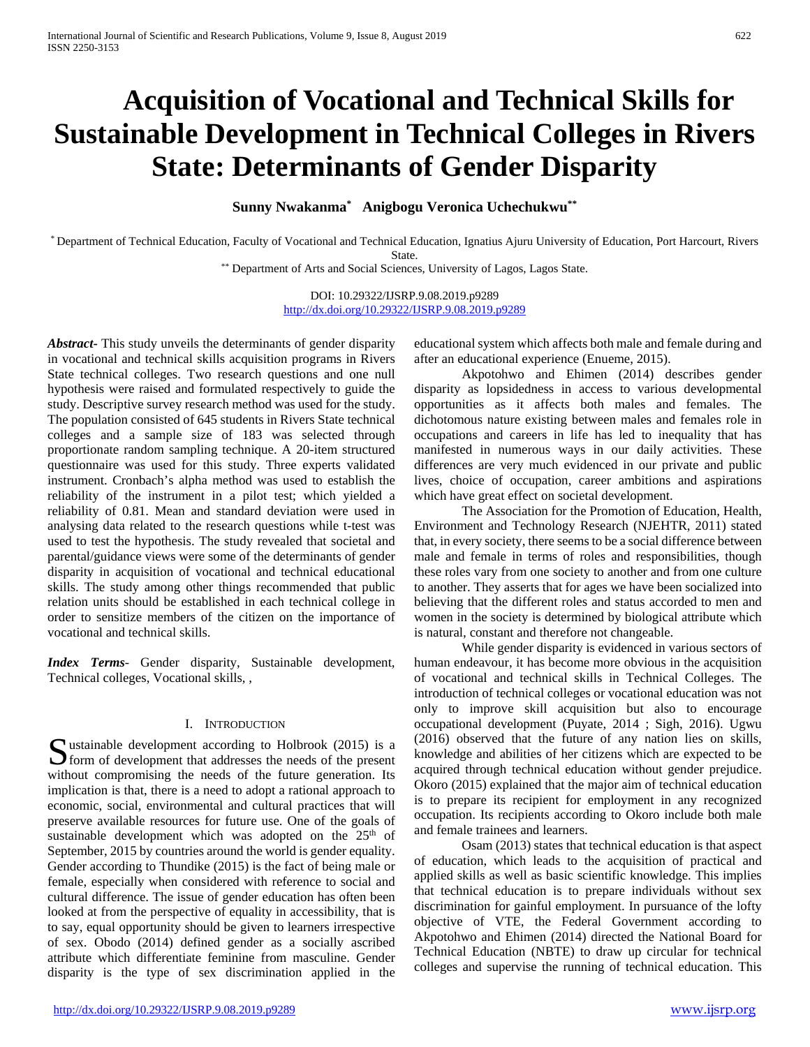# **Acquisition of Vocational and Technical Skills for Sustainable Development in Technical Colleges in Rivers State: Determinants of Gender Disparity**

**Sunny Nwakanma\* Anigbogu Veronica Uchechukwu\*\***

\* Department of Technical Education, Faculty of Vocational and Technical Education, Ignatius Ajuru University of Education, Port Harcourt, Rivers State.

\*\* Department of Arts and Social Sciences, University of Lagos, Lagos State.

DOI: 10.29322/IJSRP.9.08.2019.p9289 <http://dx.doi.org/10.29322/IJSRP.9.08.2019.p9289>

*Abstract***-** This study unveils the determinants of gender disparity in vocational and technical skills acquisition programs in Rivers State technical colleges. Two research questions and one null hypothesis were raised and formulated respectively to guide the study. Descriptive survey research method was used for the study. The population consisted of 645 students in Rivers State technical colleges and a sample size of 183 was selected through proportionate random sampling technique. A 20-item structured questionnaire was used for this study. Three experts validated instrument. Cronbach's alpha method was used to establish the reliability of the instrument in a pilot test; which yielded a reliability of 0.81. Mean and standard deviation were used in analysing data related to the research questions while t-test was used to test the hypothesis. The study revealed that societal and parental/guidance views were some of the determinants of gender disparity in acquisition of vocational and technical educational skills. The study among other things recommended that public relation units should be established in each technical college in order to sensitize members of the citizen on the importance of vocational and technical skills.

*Index Terms*- Gender disparity, Sustainable development, Technical colleges, Vocational skills, ,

## I. INTRODUCTION

ustainable development according to Holbrook (2015) is a Sustainable development according to Holbrook (2015) is a form of development that addresses the needs of the present without compromising the needs of the future generation. Its implication is that, there is a need to adopt a rational approach to economic, social, environmental and cultural practices that will preserve available resources for future use. One of the goals of sustainable development which was adopted on the 25<sup>th</sup> of September, 2015 by countries around the world is gender equality. Gender according to Thundike (2015) is the fact of being male or female, especially when considered with reference to social and cultural difference. The issue of gender education has often been looked at from the perspective of equality in accessibility, that is to say, equal opportunity should be given to learners irrespective of sex. Obodo (2014) defined gender as a socially ascribed attribute which differentiate feminine from masculine. Gender disparity is the type of sex discrimination applied in the

educational system which affects both male and female during and after an educational experience (Enueme, 2015).

Akpotohwo and Ehimen (2014) describes gender disparity as lopsidedness in access to various developmental opportunities as it affects both males and females. The dichotomous nature existing between males and females role in occupations and careers in life has led to inequality that has manifested in numerous ways in our daily activities. These differences are very much evidenced in our private and public lives, choice of occupation, career ambitions and aspirations which have great effect on societal development.

The Association for the Promotion of Education, Health, Environment and Technology Research (NJEHTR, 2011) stated that, in every society, there seems to be a social difference between male and female in terms of roles and responsibilities, though these roles vary from one society to another and from one culture to another. They asserts that for ages we have been socialized into believing that the different roles and status accorded to men and women in the society is determined by biological attribute which is natural, constant and therefore not changeable.

While gender disparity is evidenced in various sectors of human endeavour, it has become more obvious in the acquisition of vocational and technical skills in Technical Colleges. The introduction of technical colleges or vocational education was not only to improve skill acquisition but also to encourage occupational development (Puyate, 2014 ; Sigh, 2016). Ugwu (2016) observed that the future of any nation lies on skills, knowledge and abilities of her citizens which are expected to be acquired through technical education without gender prejudice. Okoro (2015) explained that the major aim of technical education is to prepare its recipient for employment in any recognized occupation. Its recipients according to Okoro include both male and female trainees and learners.

Osam (2013) states that technical education is that aspect of education, which leads to the acquisition of practical and applied skills as well as basic scientific knowledge. This implies that technical education is to prepare individuals without sex discrimination for gainful employment. In pursuance of the lofty objective of VTE, the Federal Government according to Akpotohwo and Ehimen (2014) directed the National Board for Technical Education (NBTE) to draw up circular for technical colleges and supervise the running of technical education. This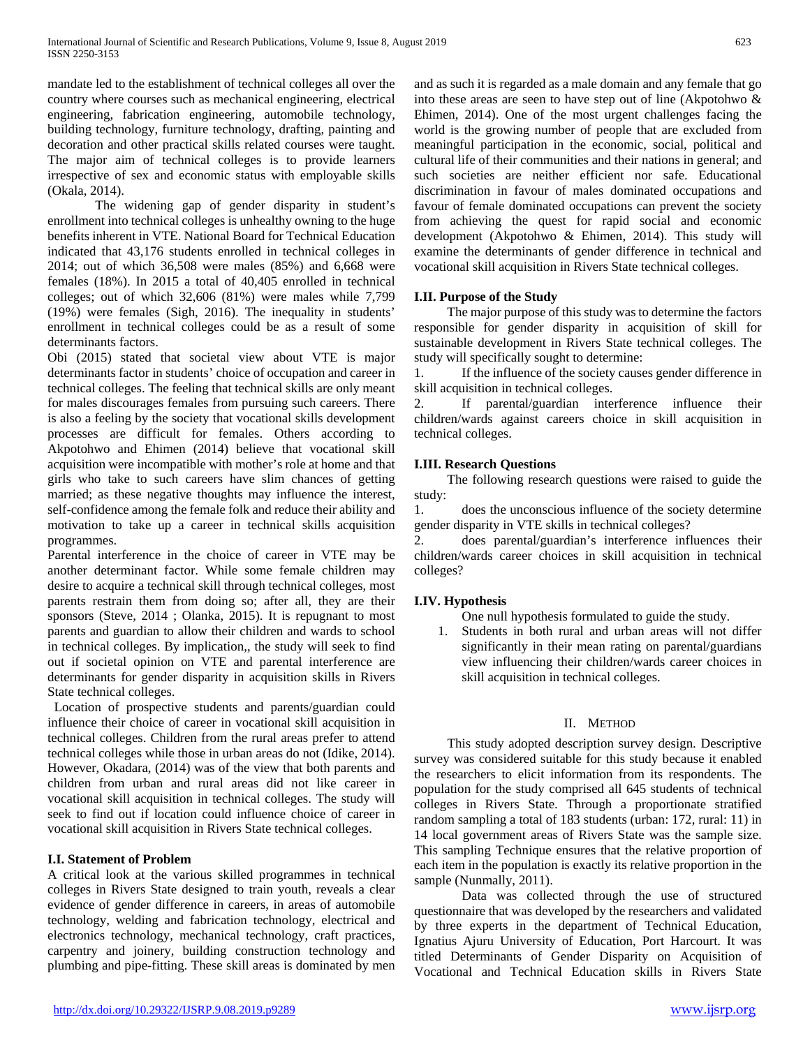mandate led to the establishment of technical colleges all over the country where courses such as mechanical engineering, electrical engineering, fabrication engineering, automobile technology, building technology, furniture technology, drafting, painting and decoration and other practical skills related courses were taught. The major aim of technical colleges is to provide learners irrespective of sex and economic status with employable skills (Okala, 2014).

The widening gap of gender disparity in student's enrollment into technical colleges is unhealthy owning to the huge benefits inherent in VTE. National Board for Technical Education indicated that 43,176 students enrolled in technical colleges in 2014; out of which 36,508 were males (85%) and 6,668 were females (18%). In 2015 a total of 40,405 enrolled in technical colleges; out of which 32,606 (81%) were males while 7,799 (19%) were females (Sigh, 2016). The inequality in students' enrollment in technical colleges could be as a result of some determinants factors.

Obi (2015) stated that societal view about VTE is major determinants factor in students' choice of occupation and career in technical colleges. The feeling that technical skills are only meant for males discourages females from pursuing such careers. There is also a feeling by the society that vocational skills development processes are difficult for females. Others according to Akpotohwo and Ehimen (2014) believe that vocational skill acquisition were incompatible with mother's role at home and that girls who take to such careers have slim chances of getting married; as these negative thoughts may influence the interest, self-confidence among the female folk and reduce their ability and motivation to take up a career in technical skills acquisition programmes.

Parental interference in the choice of career in VTE may be another determinant factor. While some female children may desire to acquire a technical skill through technical colleges, most parents restrain them from doing so; after all, they are their sponsors (Steve, 2014 ; Olanka, 2015). It is repugnant to most parents and guardian to allow their children and wards to school in technical colleges. By implication,, the study will seek to find out if societal opinion on VTE and parental interference are determinants for gender disparity in acquisition skills in Rivers State technical colleges.

Location of prospective students and parents/guardian could influence their choice of career in vocational skill acquisition in technical colleges. Children from the rural areas prefer to attend technical colleges while those in urban areas do not (Idike, 2014). However, Okadara, (2014) was of the view that both parents and children from urban and rural areas did not like career in vocational skill acquisition in technical colleges. The study will seek to find out if location could influence choice of career in vocational skill acquisition in Rivers State technical colleges.

# **I.I. Statement of Problem**

A critical look at the various skilled programmes in technical colleges in Rivers State designed to train youth, reveals a clear evidence of gender difference in careers, in areas of automobile technology, welding and fabrication technology, electrical and electronics technology, mechanical technology, craft practices, carpentry and joinery, building construction technology and plumbing and pipe-fitting. These skill areas is dominated by men

and as such it is regarded as a male domain and any female that go into these areas are seen to have step out of line (Akpotohwo & Ehimen, 2014). One of the most urgent challenges facing the world is the growing number of people that are excluded from meaningful participation in the economic, social, political and cultural life of their communities and their nations in general; and such societies are neither efficient nor safe. Educational discrimination in favour of males dominated occupations and favour of female dominated occupations can prevent the society from achieving the quest for rapid social and economic development (Akpotohwo & Ehimen, 2014). This study will examine the determinants of gender difference in technical and vocational skill acquisition in Rivers State technical colleges.

# **I.II. Purpose of the Study**

 The major purpose of this study was to determine the factors responsible for gender disparity in acquisition of skill for sustainable development in Rivers State technical colleges. The study will specifically sought to determine:

1. If the influence of the society causes gender difference in skill acquisition in technical colleges.

2. If parental/guardian interference influence their children/wards against careers choice in skill acquisition in technical colleges.

# **I.III. Research Questions**

 The following research questions were raised to guide the study:

1. does the unconscious influence of the society determine gender disparity in VTE skills in technical colleges?

2. does parental/guardian's interference influences their children/wards career choices in skill acquisition in technical colleges?

# **I.IV. Hypothesis**

One null hypothesis formulated to guide the study.

1. Students in both rural and urban areas will not differ significantly in their mean rating on parental/guardians view influencing their children/wards career choices in skill acquisition in technical colleges.

# II. METHOD

 This study adopted description survey design. Descriptive survey was considered suitable for this study because it enabled the researchers to elicit information from its respondents. The population for the study comprised all 645 students of technical colleges in Rivers State. Through a proportionate stratified random sampling a total of 183 students (urban: 172, rural: 11) in 14 local government areas of Rivers State was the sample size. This sampling Technique ensures that the relative proportion of each item in the population is exactly its relative proportion in the sample (Nunmally, 2011).

Data was collected through the use of structured questionnaire that was developed by the researchers and validated by three experts in the department of Technical Education, Ignatius Ajuru University of Education, Port Harcourt. It was titled Determinants of Gender Disparity on Acquisition of Vocational and Technical Education skills in Rivers State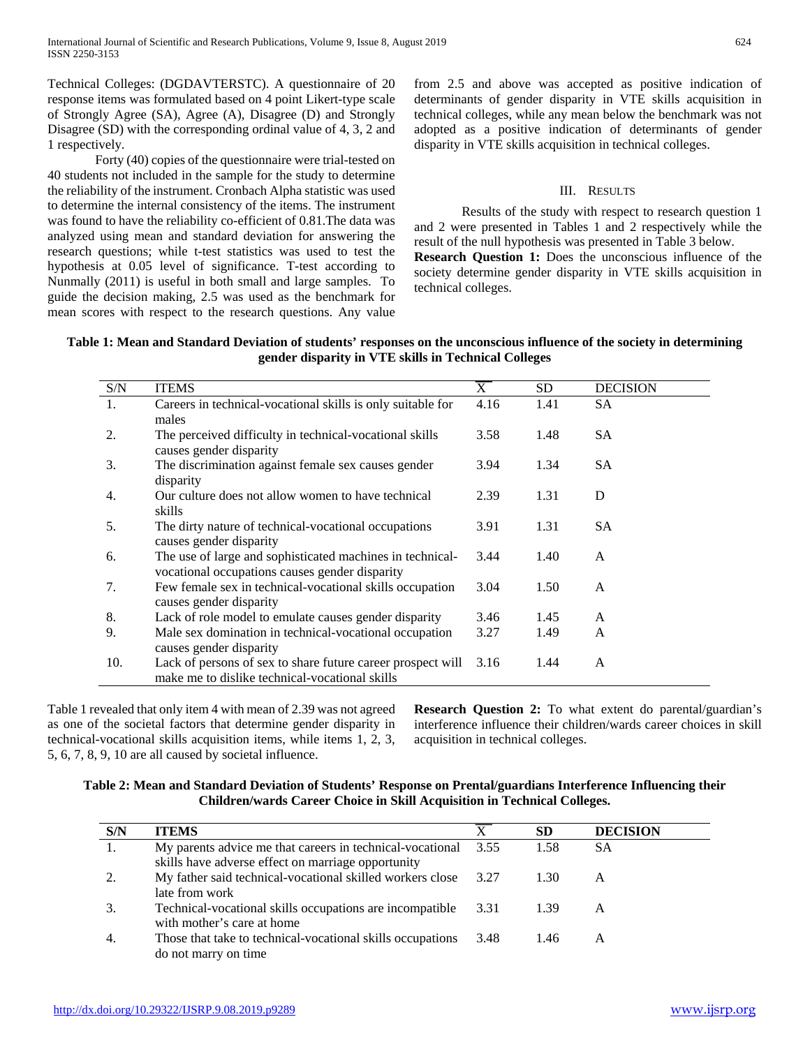Technical Colleges: (DGDAVTERSTC). A questionnaire of 20 response items was formulated based on 4 point Likert-type scale of Strongly Agree (SA), Agree (A), Disagree (D) and Strongly Disagree (SD) with the corresponding ordinal value of 4, 3, 2 and 1 respectively.

Forty (40) copies of the questionnaire were trial-tested on 40 students not included in the sample for the study to determine the reliability of the instrument. Cronbach Alpha statistic was used to determine the internal consistency of the items. The instrument was found to have the reliability co-efficient of 0.81.The data was analyzed using mean and standard deviation for answering the research questions; while t-test statistics was used to test the hypothesis at 0.05 level of significance. T-test according to Nunmally (2011) is useful in both small and large samples. To guide the decision making, 2.5 was used as the benchmark for mean scores with respect to the research questions. Any value from 2.5 and above was accepted as positive indication of determinants of gender disparity in VTE skills acquisition in technical colleges, while any mean below the benchmark was not adopted as a positive indication of determinants of gender disparity in VTE skills acquisition in technical colleges.

### III. RESULTS

Results of the study with respect to research question 1 and 2 were presented in Tables 1 and 2 respectively while the result of the null hypothesis was presented in Table 3 below. **Research Question 1:** Does the unconscious influence of the

society determine gender disparity in VTE skills acquisition in technical colleges.

| Table 1: Mean and Standard Deviation of students' responses on the unconscious influence of the society in determining |  |
|------------------------------------------------------------------------------------------------------------------------|--|
| gender disparity in VTE skills in Technical Colleges                                                                   |  |

| S/N              | <b>ITEMS</b>                                                | X    | <b>SD</b> | <b>DECISION</b> |
|------------------|-------------------------------------------------------------|------|-----------|-----------------|
| 1.               | Careers in technical-vocational skills is only suitable for | 4.16 | 1.41      | <b>SA</b>       |
|                  | males                                                       |      |           |                 |
| 2.               | The perceived difficulty in technical-vocational skills     | 3.58 | 1.48      | <b>SA</b>       |
|                  | causes gender disparity                                     |      |           |                 |
| 3.               | The discrimination against female sex causes gender         | 3.94 | 1.34      | <b>SA</b>       |
|                  | disparity                                                   |      |           |                 |
| $\overline{4}$ . | Our culture does not allow women to have technical          | 2.39 | 1.31      | D               |
|                  | skills                                                      |      |           |                 |
| .5.              | The dirty nature of technical-vocational occupations        | 3.91 | 1.31      | <b>SA</b>       |
|                  | causes gender disparity                                     |      |           |                 |
| 6.               | The use of large and sophisticated machines in technical-   | 3.44 | 1.40      | A               |
|                  | vocational occupations causes gender disparity              |      |           |                 |
| 7.               | Few female sex in technical-vocational skills occupation    | 3.04 | 1.50      | A               |
|                  | causes gender disparity                                     |      |           |                 |
| 8.               | Lack of role model to emulate causes gender disparity       | 3.46 | 1.45      | A               |
| 9.               | Male sex domination in technical-vocational occupation      | 3.27 | 1.49      | A               |
|                  | causes gender disparity                                     |      |           |                 |
| 10.              |                                                             | 3.16 | 1.44      | A               |
|                  | make me to dislike technical-vocational skills              |      |           |                 |
|                  | Lack of persons of sex to share future career prospect will |      |           |                 |

Table 1 revealed that only item 4 with mean of 2.39 was not agreed as one of the societal factors that determine gender disparity in technical-vocational skills acquisition items, while items 1, 2, 3, 5, 6, 7, 8, 9, 10 are all caused by societal influence.

**Research Question 2:** To what extent do parental/guardian's interference influence their children/wards career choices in skill acquisition in technical colleges.

**Table 2: Mean and Standard Deviation of Students' Response on Prental/guardians Interference Influencing their Children/wards Career Choice in Skill Acquisition in Technical Colleges.**

| S/N | <b>ITEMS</b>                                                                                                    |        | SD   | <b>DECISION</b> |
|-----|-----------------------------------------------------------------------------------------------------------------|--------|------|-----------------|
|     | My parents advice me that careers in technical-vocational<br>skills have adverse effect on marriage opportunity | 3.55   | 1.58 | SА              |
|     | My father said technical-vocational skilled workers close 3.27<br>late from work                                |        | 1.30 | A               |
|     | Technical-vocational skills occupations are incompatible<br>with mother's care at home                          | 3.31   | 1.39 | A               |
|     | Those that take to technical-vocational skills occupations<br>do not marry on time                              | - 3.48 | 1.46 | А               |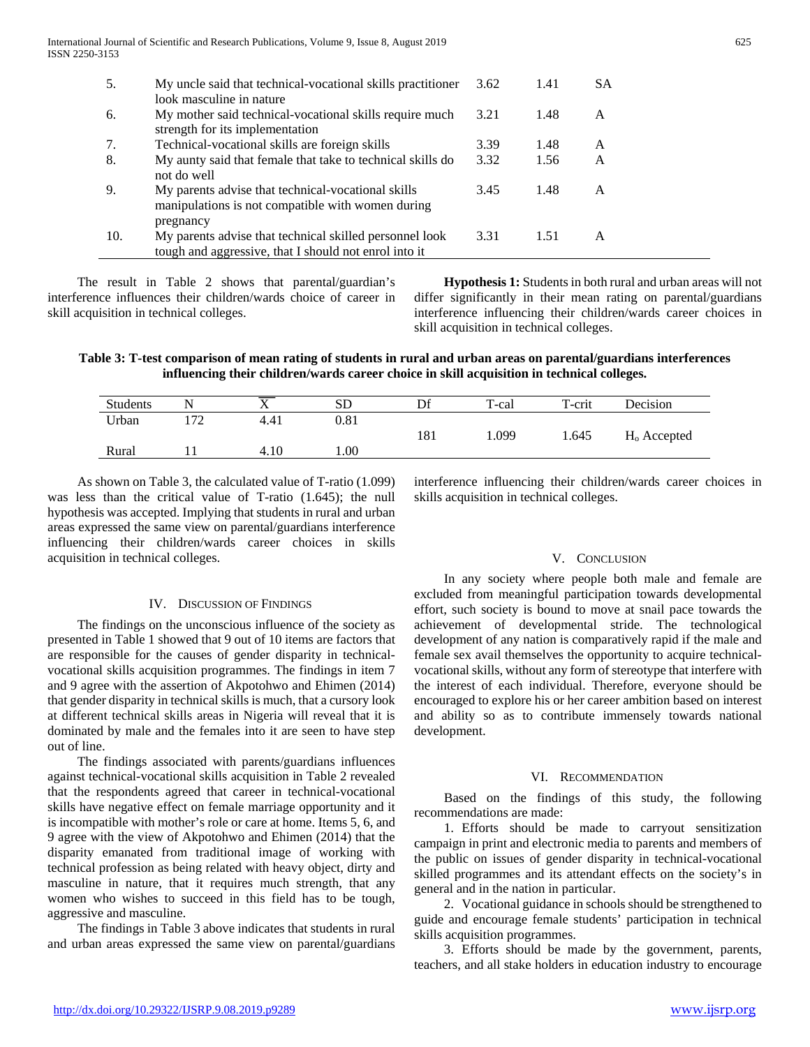| 5.  | My uncle said that technical-vocational skills practitioner<br>look masculine in nature                                       | 3.62 | 1.41 | SА |
|-----|-------------------------------------------------------------------------------------------------------------------------------|------|------|----|
| 6.  | My mother said technical-vocational skills require much<br>strength for its implementation                                    | 3.21 | 1.48 | A  |
| 7.  | Technical-vocational skills are foreign skills                                                                                | 3.39 | 1.48 | A  |
| 8.  | My aunty said that female that take to technical skills do<br>not do well                                                     | 3.32 | 1.56 | A  |
| 9.  | My parents advise that technical-vocational skills<br>manipulations is not compatible with women during                       | 3.45 | 1.48 | A  |
| 10. | pregnancy<br>My parents advise that technical skilled personnel look<br>tough and aggressive, that I should not enrol into it | 3.31 | 1.51 | A  |

 The result in Table 2 shows that parental/guardian's interference influences their children/wards choice of career in skill acquisition in technical colleges.

 **Hypothesis 1:** Students in both rural and urban areas will not differ significantly in their mean rating on parental/guardians interference influencing their children/wards career choices in skill acquisition in technical colleges.

**Table 3: T-test comparison of mean rating of students in rural and urban areas on parental/guardians interferences influencing their children/wards career choice in skill acquisition in technical colleges.**

| <b>Students</b> | N        | $\overline{ }$ | <b>SD</b> | Df  | T-cal | T-crit | Decision       |
|-----------------|----------|----------------|-----------|-----|-------|--------|----------------|
| Urban           | ר ד<br>∸ | 4.41           | 0.81      |     |       |        |                |
|                 |          |                |           | 181 | 1.099 | 1.645  | $H_0$ Accepted |
| Rural           |          | 4.10           | 00.1      |     |       |        |                |

 As shown on Table 3, the calculated value of T-ratio (1.099) was less than the critical value of T-ratio (1.645); the null hypothesis was accepted. Implying that students in rural and urban areas expressed the same view on parental/guardians interference influencing their children/wards career choices in skills acquisition in technical colleges.

#### IV. DISCUSSION OF FINDINGS

 The findings on the unconscious influence of the society as presented in Table 1 showed that 9 out of 10 items are factors that are responsible for the causes of gender disparity in technicalvocational skills acquisition programmes. The findings in item 7 and 9 agree with the assertion of Akpotohwo and Ehimen (2014) that gender disparity in technical skills is much, that a cursory look at different technical skills areas in Nigeria will reveal that it is dominated by male and the females into it are seen to have step out of line.

 The findings associated with parents/guardians influences against technical-vocational skills acquisition in Table 2 revealed that the respondents agreed that career in technical-vocational skills have negative effect on female marriage opportunity and it is incompatible with mother's role or care at home. Items 5, 6, and 9 agree with the view of Akpotohwo and Ehimen (2014) that the disparity emanated from traditional image of working with technical profession as being related with heavy object, dirty and masculine in nature, that it requires much strength, that any women who wishes to succeed in this field has to be tough, aggressive and masculine.

 The findings in Table 3 above indicates that students in rural and urban areas expressed the same view on parental/guardians interference influencing their children/wards career choices in skills acquisition in technical colleges.

## V. CONCLUSION

 In any society where people both male and female are excluded from meaningful participation towards developmental effort, such society is bound to move at snail pace towards the achievement of developmental stride. The technological development of any nation is comparatively rapid if the male and female sex avail themselves the opportunity to acquire technicalvocational skills, without any form of stereotype that interfere with the interest of each individual. Therefore, everyone should be encouraged to explore his or her career ambition based on interest and ability so as to contribute immensely towards national development.

### VI. RECOMMENDATION

 Based on the findings of this study, the following recommendations are made:

 1. Efforts should be made to carryout sensitization campaign in print and electronic media to parents and members of the public on issues of gender disparity in technical-vocational skilled programmes and its attendant effects on the society's in general and in the nation in particular.

 2. Vocational guidance in schools should be strengthened to guide and encourage female students' participation in technical skills acquisition programmes.

 3. Efforts should be made by the government, parents, teachers, and all stake holders in education industry to encourage